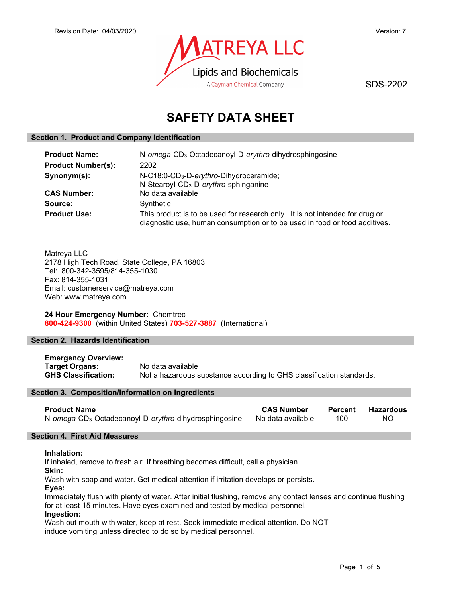

SDS-2202

# SAFETY DATA SHEET

# Section 1. Product and Company Identification

| <b>Product Name:</b>      | N-omega-CD <sub>3</sub> -Octadecanoyl-D-erythro-dihydrosphingosine                                                                                         |
|---------------------------|------------------------------------------------------------------------------------------------------------------------------------------------------------|
| <b>Product Number(s):</b> | 2202                                                                                                                                                       |
| Synonym(s):               | N-C18:0-CD <sub>3</sub> -D-erythro-Dihydroceramide;<br>N-Stearoyl-CD <sub>3</sub> -D-erythro-sphinganine                                                   |
| <b>CAS Number:</b>        | No data available                                                                                                                                          |
| Source:                   | Synthetic                                                                                                                                                  |
| <b>Product Use:</b>       | This product is to be used for research only. It is not intended for drug or<br>diagnostic use, human consumption or to be used in food or food additives. |

Matreya LLC 2178 High Tech Road, State College, PA 16803 Tel: 800-342-3595/814-355-1030 Fax: 814-355-1031 Email: customerservice@matreya.com Web: www.matreya.com

24 Hour Emergency Number: Chemtrec 800-424-9300 (within United States) 703-527-3887 (International)

# Section 2. Hazards Identification

Emergency Overview: Target Organs: No data available GHS Classification: Not a hazardous substance according to GHS classification standards.

### Section 3. Composition/Information on Ingredients

| <b>Product Name</b>                                                | <b>CAS Number</b> | <b>Percent</b> | <b>Hazardous</b> |
|--------------------------------------------------------------------|-------------------|----------------|------------------|
| N-omega-CD <sub>3</sub> -Octadecanoyl-D-erythro-dihydrosphingosine | No data available | 100            | NO.              |

## Section 4. First Aid Measures

## Inhalation:

If inhaled, remove to fresh air. If breathing becomes difficult, call a physician.

Skin:

Wash with soap and water. Get medical attention if irritation develops or persists.

Eyes:

Immediately flush with plenty of water. After initial flushing, remove any contact lenses and continue flushing for at least 15 minutes. Have eyes examined and tested by medical personnel. Ingestion:

Wash out mouth with water, keep at rest. Seek immediate medical attention. Do NOT induce vomiting unless directed to do so by medical personnel.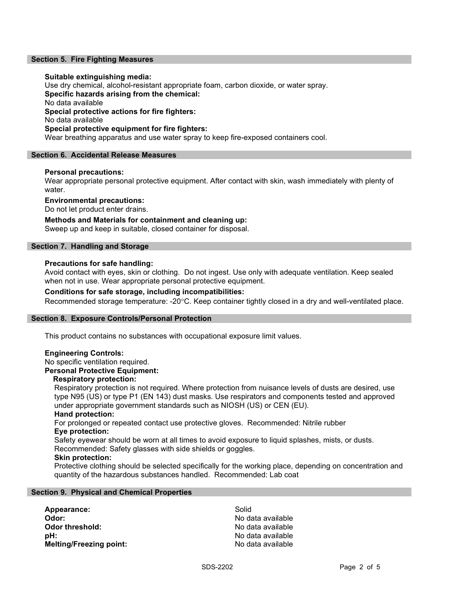## Section 5. Fire Fighting Measures

#### Suitable extinguishing media:

Use dry chemical, alcohol-resistant appropriate foam, carbon dioxide, or water spray. Specific hazards arising from the chemical: No data available Special protective actions for fire fighters: No data available Special protective equipment for fire fighters: Wear breathing apparatus and use water spray to keep fire-exposed containers cool.

#### Section 6. Accidental Release Measures

#### Personal precautions:

Wear appropriate personal protective equipment. After contact with skin, wash immediately with plenty of water.

Environmental precautions:

Do not let product enter drains.

## Methods and Materials for containment and cleaning up:

Sweep up and keep in suitable, closed container for disposal.

## Section 7. Handling and Storage

#### Precautions for safe handling:

Avoid contact with eyes, skin or clothing. Do not ingest. Use only with adequate ventilation. Keep sealed when not in use. Wear appropriate personal protective equipment.

## Conditions for safe storage, including incompatibilities:

Recommended storage temperature: -20°C. Keep container tightly closed in a dry and well-ventilated place.

#### Section 8. Exposure Controls/Personal Protection

This product contains no substances with occupational exposure limit values.

## Engineering Controls:

No specific ventilation required.

# Personal Protective Equipment:

# Respiratory protection:

Respiratory protection is not required. Where protection from nuisance levels of dusts are desired, use type N95 (US) or type P1 (EN 143) dust masks. Use respirators and components tested and approved under appropriate government standards such as NIOSH (US) or CEN (EU).

#### Hand protection:

For prolonged or repeated contact use protective gloves. Recommended: Nitrile rubber Eye protection:

Safety eyewear should be worn at all times to avoid exposure to liquid splashes, mists, or dusts. Recommended: Safety glasses with side shields or goggles.

#### Skin protection:

Protective clothing should be selected specifically for the working place, depending on concentration and quantity of the hazardous substances handled. Recommended: Lab coat

#### Section 9. Physical and Chemical Properties

Appearance: Solid Odor: No data available pH: No data available Melting/Freezing point: No data available

No data available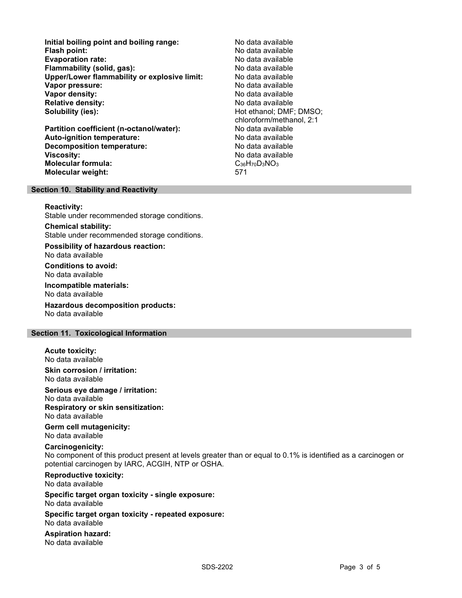Initial boiling point and boiling range: No data available Flash point: No data available Evaporation rate: Flammability (solid, gas): No data available Upper/Lower flammability or explosive limit: No data available **Vapor pressure:** No data available values and the values of the values of the values of the values of the values of the values of the values of the values of the values of the values of the values of the values of the val Vapor density: No data available Relative density:<br>
Solubility (ies):<br>
Solubility (ies):<br>
No data available<br>
Hot ethanol; DMF

Partition coefficient (n-octanol/water): Auto-ignition temperature: No data available Decomposition temperature: No data available **Viscosity:** No data available Molecular formula: C36H70D3NO3 Molecular weight: 571

Hot ethanol; DMF; DMSO; chloroform/methanol, 2:1

#### Section 10. Stability and Reactivity

#### Reactivity:

Stable under recommended storage conditions.

Chemical stability: Stable under recommended storage conditions.

Possibility of hazardous reaction: No data available

Conditions to avoid: No data available

Incompatible materials: No data available

Hazardous decomposition products: No data available

## Section 11. Toxicological Information

Acute toxicity:

No data available

Skin corrosion / irritation: No data available

Serious eye damage / irritation:

No data available Respiratory or skin sensitization:

No data available

Germ cell mutagenicity: No data available

## Carcinogenicity:

No component of this product present at levels greater than or equal to 0.1% is identified as a carcinogen or potential carcinogen by IARC, ACGIH, NTP or OSHA.

Reproductive toxicity: No data available

Specific target organ toxicity - single exposure: No data available

Specific target organ toxicity - repeated exposure: No data available

Aspiration hazard: No data available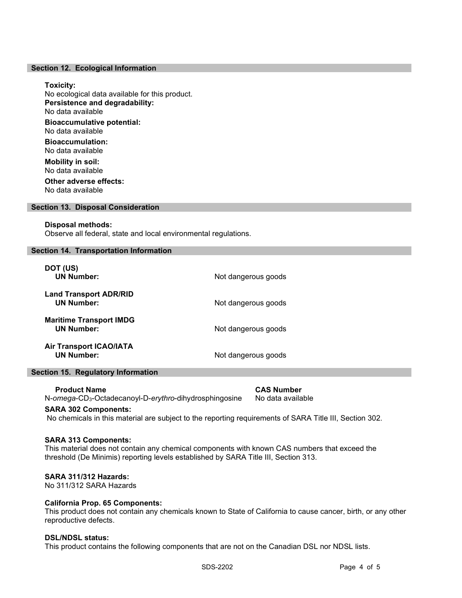#### Section 12. Ecological Information

#### Toxicity:

No ecological data available for this product. Persistence and degradability: No data available Bioaccumulative potential: No data available

Bioaccumulation: No data available

Mobility in soil: No data available Other adverse effects:

No data available

## Section 13. Disposal Consideration

#### Disposal methods:

Observe all federal, state and local environmental regulations.

#### Section 14. Transportation Information

| DOT (US)<br><b>UN Number:</b>                       | Not dangerous goods |
|-----------------------------------------------------|---------------------|
| <b>Land Transport ADR/RID</b><br><b>UN Number:</b>  | Not dangerous goods |
| <b>Maritime Transport IMDG</b><br><b>UN Number:</b> | Not dangerous goods |
| <b>Air Transport ICAO/IATA</b><br><b>UN Number:</b> | Not dangerous goods |

# Section 15. Regulatory Information

 Product Name CAS Number N-omega-CD<sub>3</sub>-Octadecanoyl-D-erythro-dihydrosphingosine No data available

#### SARA 302 Components:

No chemicals in this material are subject to the reporting requirements of SARA Title III, Section 302.

### SARA 313 Components:

This material does not contain any chemical components with known CAS numbers that exceed the threshold (De Minimis) reporting levels established by SARA Title III, Section 313.

#### SARA 311/312 Hazards:

No 311/312 SARA Hazards

#### California Prop. 65 Components:

This product does not contain any chemicals known to State of California to cause cancer, birth, or any other reproductive defects.

#### DSL/NDSL status:

This product contains the following components that are not on the Canadian DSL nor NDSL lists.